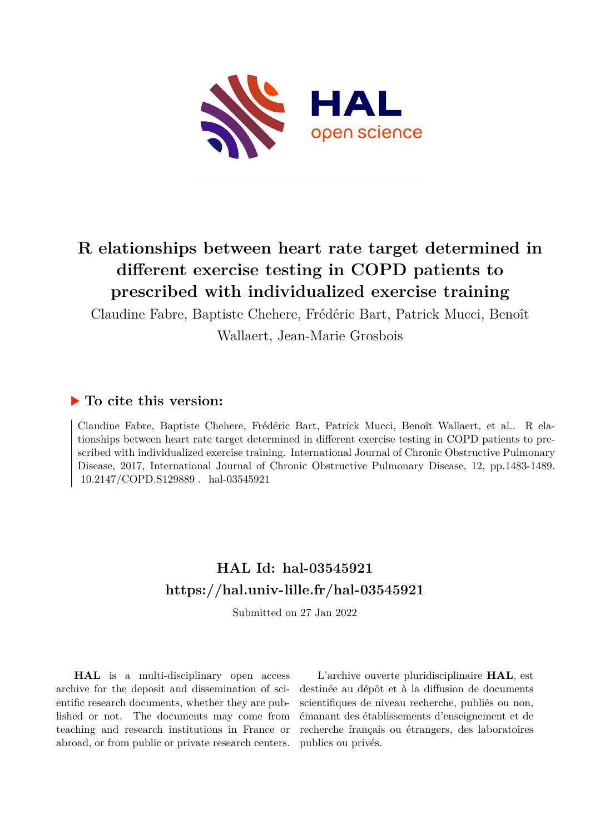

# **R elationships between heart rate target determined in different exercise testing in COPD patients to prescribed with individualized exercise training**

Claudine Fabre, Baptiste Chehere, Frédéric Bart, Patrick Mucci, Benoît

Wallaert, Jean-Marie Grosbois

## **To cite this version:**

Claudine Fabre, Baptiste Chehere, Frédéric Bart, Patrick Mucci, Benoît Wallaert, et al.. R elationships between heart rate target determined in different exercise testing in COPD patients to prescribed with individualized exercise training. International Journal of Chronic Obstructive Pulmonary Disease, 2017, International Journal of Chronic Obstructive Pulmonary Disease, 12, pp.1483-1489. 10.2147/COPD.S129889. hal-03545921

## **HAL Id: hal-03545921 <https://hal.univ-lille.fr/hal-03545921>**

Submitted on 27 Jan 2022

**HAL** is a multi-disciplinary open access archive for the deposit and dissemination of scientific research documents, whether they are published or not. The documents may come from teaching and research institutions in France or abroad, or from public or private research centers.

L'archive ouverte pluridisciplinaire **HAL**, est destinée au dépôt et à la diffusion de documents scientifiques de niveau recherche, publiés ou non, émanant des établissements d'enseignement et de recherche français ou étrangers, des laboratoires publics ou privés.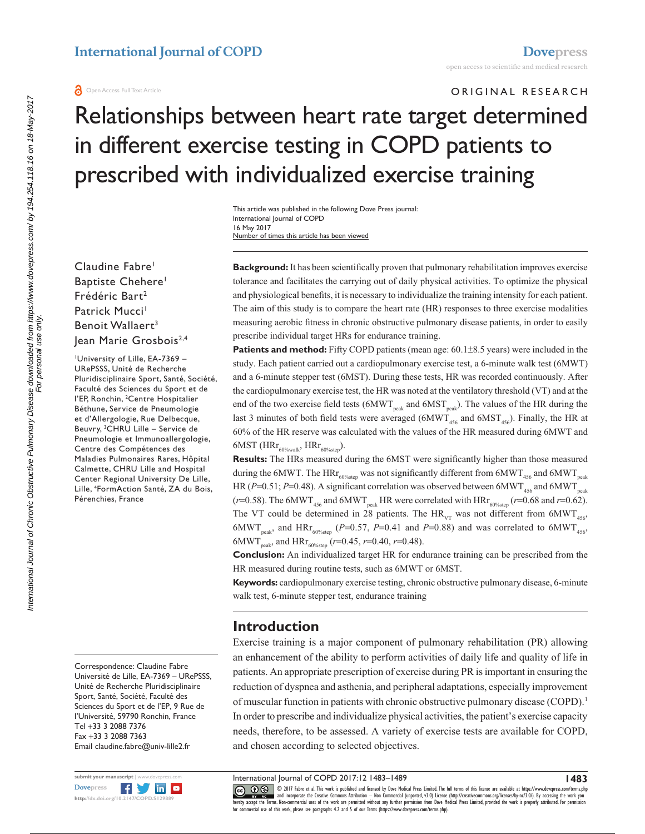#### **a** Open Access Full Text Article

ORIGINAL RESEARCH

# Relationships between heart rate target determined in different exercise testing in COPD patients to prescribed with individualized exercise training

Number of times this article has been viewed This article was published in the following Dove Press journal: International Journal of COPD 16 May 2017

Claudine Fabre<sup>1</sup> Baptiste Chehere<sup>1</sup> Frédéric Bart<sup>2</sup> Patrick Mucci<sup>1</sup> Benoit Wallaert<sup>3</sup> Jean Marie Grosbois<sup>2,4</sup>

1 University of Lille, EA-7369 – URePSSS, Unité de Recherche Pluridisciplinaire Sport, Santé, Société, Faculté des Sciences du Sport et de l'EP, Ronchin, <sup>2</sup>Centre Hospitalier Béthune, Service de Pneumologie et d'Allergologie, Rue Delbecque, Beuvry, 3 CHRU Lille – Service de Pneumologie et Immunoallergologie, Centre des Compétences des Maladies Pulmonaires Rares, Hôpital Calmette, CHRU Lille and Hospital Center Regional University De Lille, Lille, 4 FormAction Santé, ZA du Bois, Pérenchies, France

Correspondence: Claudine Fabre Université de Lille, EA-7369 – URePSSS, Unité de Recherche Pluridisciplinaire Sport, Santé, Société, Faculté des Sciences du Sport et de l'EP, 9 Rue de l'Université, 59790 Ronchin, France Tel +33 3 2088 7376 Fax +33 3 2088 7363 Email [claudine.fabre@univ-lille2.fr](mailto:claudine.fabre@univ-lille2.fr)



**Background:** It has been scientifically proven that pulmonary rehabilitation improves exercise tolerance and facilitates the carrying out of daily physical activities. To optimize the physical and physiological benefits, it is necessary to individualize the training intensity for each patient. The aim of this study is to compare the heart rate (HR) responses to three exercise modalities measuring aerobic fitness in chronic obstructive pulmonary disease patients, in order to easily prescribe individual target HRs for endurance training.

**Patients and method:** Fifty COPD patients (mean age: 60.1±8.5 years) were included in the study. Each patient carried out a cardiopulmonary exercise test, a 6-minute walk test (6MWT) and a 6-minute stepper test (6MST). During these tests, HR was recorded continuously. After the cardiopulmonary exercise test, the HR was noted at the ventilatory threshold (VT) and at the end of the two exercise field tests ( $6MWT_{peak}$  and  $6MST_{peak}$ ). The values of the HR during the last 3 minutes of both field tests were averaged ( $6MWT_{456}$  and  $6MST_{456}$ ). Finally, the HR at 60% of the HR reserve was calculated with the values of the HR measured during 6MWT and  $6MST$  (HR $r_{60\%walk}$ , HR $r_{60\%step}$ ).

**Results:** The HRs measured during the 6MST were significantly higher than those measured during the 6MWT. The  $H Rr_{60\%step}$  was not significantly different from 6MWT<sub>456</sub> and 6MWT<sub>peak</sub> HR ( $P=0.51$ ;  $P=0.48$ ). A significant correlation was observed between  $6MWT_{456}$  and  $6MWT_{peak}$ ( $r=0.58$ ). The 6MWT<sub>456</sub> and 6MWT<sub>neak</sub> HR were correlated with  $HRT_{60\%ster}$  ( $r=0.68$  and  $r=0.62$ ). The VT could be determined in 28 patients. The  $HR_{VT}$  was not different from 6MWT<sub>456</sub>, 6MWT<sub>peak</sub>, and HRr<sub>60%step</sub> (*P*=0.57, *P*=0.41 and *P*=0.88) and was correlated to 6MWT<sub>456</sub>, 6MWT<sub>peak</sub>, and HRr<sub>60%step</sub> (*r*=0.45, *r*=0.40, *r*=0.48).

**Conclusion:** An individualized target HR for endurance training can be prescribed from the HR measured during routine tests, such as 6MWT or 6MST.

**Keywords:** cardiopulmonary exercise testing, chronic obstructive pulmonary disease, 6-minute walk test, 6-minute stepper test, endurance training

## **Introduction**

Exercise training is a major component of pulmonary rehabilitation (PR) allowing an enhancement of the ability to perform activities of daily life and quality of life in patients. An appropriate prescription of exercise during PR is important in ensuring the reduction of dyspnea and asthenia, and peripheral adaptations, especially improvement of muscular function in patients with chronic obstructive pulmonary disease (COPD).1 In order to prescribe and individualize physical activities, the patient's exercise capacity needs, therefore, to be assessed. A variety of exercise tests are available for COPD, and chosen according to selected objectives.

International Journal of COPD 2017:12 1483–1489

CC 0 9 2017 Fabre et al. This work is published and licensed by Dove Medical Press Limited. The full terms of this license are available at <https://www.dovepress.com/terms.php><br>[hereby accept the Terms](http://www.dovepress.com/permissions.php). Non-commercial uses o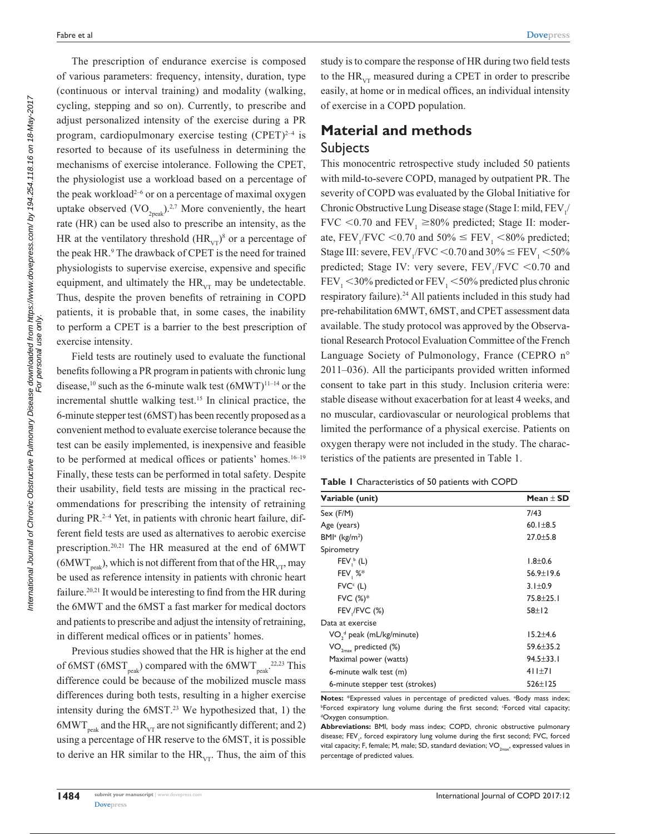The prescription of endurance exercise is composed of various parameters: frequency, intensity, duration, type (continuous or interval training) and modality (walking, cycling, stepping and so on). Currently, to prescribe and adjust personalized intensity of the exercise during a PR program, cardiopulmonary exercise testing  $(CPET)^{2-4}$  is resorted to because of its usefulness in determining the mechanisms of exercise intolerance. Following the CPET, the physiologist use a workload based on a percentage of the peak workload<sup>2-6</sup> or on a percentage of maximal oxygen uptake observed  $(VO_{2n e k})^{2.7}$  More conveniently, the heart rate (HR) can be used also to prescribe an intensity, as the HR at the ventilatory threshold  $(HR_{VT})^8$  or a percentage of the peak HR.9 The drawback of CPET is the need for trained physiologists to supervise exercise, expensive and specific equipment, and ultimately the  $HR_{VT}$  may be undetectable. Thus, despite the proven benefits of retraining in COPD patients, it is probable that, in some cases, the inability to perform a CPET is a barrier to the best prescription of exercise intensity.

Field tests are routinely used to evaluate the functional benefits following a PR program in patients with chronic lung disease,<sup>10</sup> such as the 6-minute walk test  $(6MWT)^{11-14}$  or the incremental shuttle walking test.15 In clinical practice, the 6-minute stepper test (6MST) has been recently proposed as a convenient method to evaluate exercise tolerance because the test can be easily implemented, is inexpensive and feasible to be performed at medical offices or patients' homes.<sup>16–19</sup> Finally, these tests can be performed in total safety. Despite their usability, field tests are missing in the practical recommendations for prescribing the intensity of retraining during PR.<sup>2-4</sup> Yet, in patients with chronic heart failure, different field tests are used as alternatives to aerobic exercise prescription.20,21 The HR measured at the end of 6MWT  $(6MWT<sub>back</sub>)$ , which is not different from that of the HR<sub>vT</sub>, may be used as reference intensity in patients with chronic heart failure.<sup>20,21</sup> It would be interesting to find from the HR during the 6MWT and the 6MST a fast marker for medical doctors and patients to prescribe and adjust the intensity of retraining, in different medical offices or in patients' homes.

Previous studies showed that the HR is higher at the end of 6MST (6MST $_{peak}$ ) compared with the 6MWT $_{peak}$ <sup>22,23</sup> This difference could be because of the mobilized muscle mass differences during both tests, resulting in a higher exercise intensity during the  $6MST.^{23}$  We hypothesized that, 1) the 6MWT<sub>neak</sub> and the HR<sub>VT</sub> are not significantly different; and 2) using a percentage of HR reserve to the 6MST, it is possible to derive an HR similar to the  $HR<sub>vr</sub>$ . Thus, the aim of this

study is to compare the response of HR during two field tests to the  $HR_{vr}$  measured during a CPET in order to prescribe easily, at home or in medical offices, an individual intensity of exercise in a COPD population.

## **Material and methods** Subjects

This monocentric retrospective study included 50 patients with mild-to-severe COPD, managed by outpatient PR. The severity of COPD was evaluated by the Global Initiative for Chronic Obstructive Lung Disease stage (Stage I: mild,  $\rm FEV_{1/}$ FVC <0.70 and FEV<sub>1</sub>  $\geq$ 80% predicted; Stage II: moderate,  $FEV_1/FVC < 0.70$  and  $50\% \le FEV_1 < 80\%$  predicted; Stage III: severe,  $\text{FEV}_1/\text{FVC} \leq 0.70$  and  $30\% \leq \text{FEV}_1 \leq 50\%$ predicted; Stage IV: very severe,  $FEV_1/FVC < 0.70$  and  $FEV<sub>1</sub> < 30\%$  predicted or  $FEV<sub>1</sub> < 50\%$  predicted plus chronic respiratory failure).<sup>24</sup> All patients included in this study had pre-rehabilitation 6MWT, 6MST, and CPET assessment data available. The study protocol was approved by the Observational Research Protocol Evaluation Committee of the French Language Society of Pulmonology, France (CEPRO n° 2011–036). All the participants provided written informed consent to take part in this study. Inclusion criteria were: stable disease without exacerbation for at least 4 weeks, and no muscular, cardiovascular or neurological problems that limited the performance of a physical exercise. Patients on oxygen therapy were not included in the study. The characteristics of the patients are presented in Table 1.

|  | Table I Characteristics of 50 patients with COPD |  |  |  |  |
|--|--------------------------------------------------|--|--|--|--|
|--|--------------------------------------------------|--|--|--|--|

| Variable (unit)                                  | Mean $\pm$ SD   |  |
|--------------------------------------------------|-----------------|--|
| Sex (F/M)                                        | 7/43            |  |
| Age (years)                                      | $60.1 + 8.5$    |  |
| $BMla$ (kg/m <sup>2</sup> )                      | $27.0 + 5.8$    |  |
| Spirometry                                       |                 |  |
| $FEV1b$ (L)                                      | $1.8 + 0.6$     |  |
| FEV, $\%^*$                                      | $56.9 \pm 19.6$ |  |
| $FVCc$ (L)                                       | $3.1 \pm 0.9$   |  |
| $FVC (%)*$                                       | $75.8 + 25.1$   |  |
| $FEV$ , $/FVC$ $(\%)$                            | $58+12$         |  |
| Data at exercise                                 |                 |  |
| VO <sub>3</sub> <sup>d</sup> peak (mL/kg/minute) | $15.2 + 4.6$    |  |
| $VO_{2max}$ predicted (%)                        | $59.6 + 35.2$   |  |
| Maximal power (watts)                            | $94.5 + 33.1$   |  |
| 6-minute walk test (m)                           | $411+71$        |  |
| 6-minute stepper test (strokes)                  | $526 + 125$     |  |

**Notes:** \*Expressed values in percentage of predicted values. \*Body mass index;<br>\*Eorced expiratory lung volume during the first second: \*Eorced vital capacity; <sup>b</sup>Forced expiratory lung volume during the first second; <sup>c</sup>Forced vital capacity;<br><sup>d</sup>Oxygen.consumption Oxygen consumption.

**Abbreviations:** BMI, body mass index; COPD, chronic obstructive pulmonary disease; FEV<sub>1</sub>, forced expiratory lung volume during the first second; FVC, forced vital capacity; F, female; M, male; SD, standard deviation;  $VO_{2\rm max}$ , expressed values in percentage of predicted values.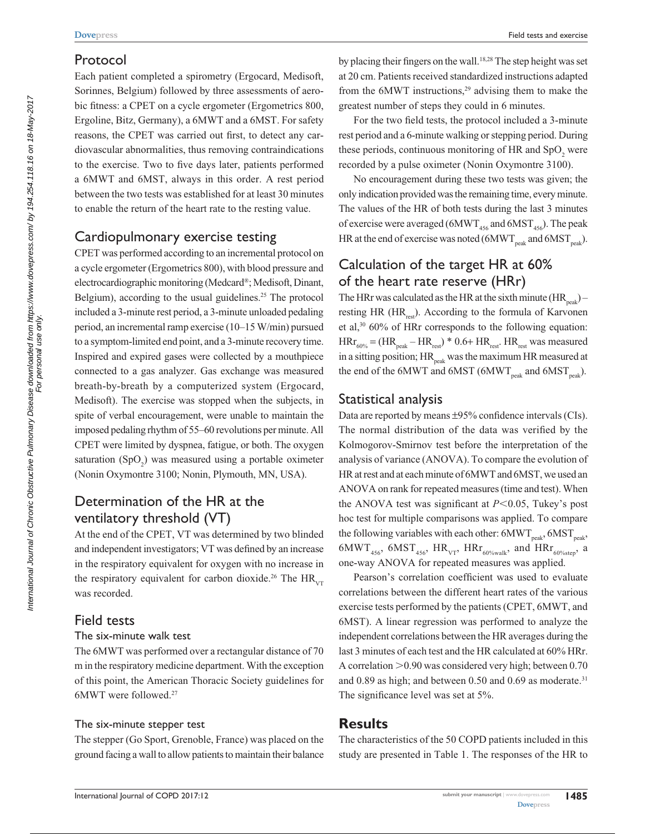## Protocol

Each patient completed a spirometry (Ergocard, Medisoft, Sorinnes, Belgium) followed by three assessments of aerobic fitness: a CPET on a cycle ergometer (Ergometrics 800, Ergoline, Bitz, Germany), a 6MWT and a 6MST. For safety reasons, the CPET was carried out first, to detect any cardiovascular abnormalities, thus removing contraindications to the exercise. Two to five days later, patients performed a 6MWT and 6MST, always in this order. A rest period between the two tests was established for at least 30 minutes to enable the return of the heart rate to the resting value.

## Cardiopulmonary exercise testing

CPET was performed according to an incremental protocol on a cycle ergometer (Ergometrics 800), with blood pressure and electrocardiographic monitoring (Medcard®; Medisoft, Dinant, Belgium), according to the usual guidelines.<sup>25</sup> The protocol included a 3-minute rest period, a 3-minute unloaded pedaling period, an incremental ramp exercise (10–15 W/min) pursued to a symptom-limited end point, and a 3-minute recovery time. Inspired and expired gases were collected by a mouthpiece connected to a gas analyzer. Gas exchange was measured breath-by-breath by a computerized system (Ergocard, Medisoft). The exercise was stopped when the subjects, in spite of verbal encouragement, were unable to maintain the imposed pedaling rhythm of 55–60 revolutions per minute. All CPET were limited by dyspnea, fatigue, or both. The oxygen saturation  $(SpO<sub>2</sub>)$  was measured using a portable oximeter (Nonin Oxymontre 3100; Nonin, Plymouth, MN, USA).

## Determination of the HR at the ventilatory threshold (VT)

At the end of the CPET, VT was determined by two blinded and independent investigators; VT was defined by an increase in the respiratory equivalent for oxygen with no increase in the respiratory equivalent for carbon dioxide.<sup>26</sup> The  $HR_{VT}$ was recorded.

## Field tests

#### The six-minute walk test

The 6MWT was performed over a rectangular distance of 70 m in the respiratory medicine department. With the exception of this point, the American Thoracic Society guidelines for 6MWT were followed.27

#### The six-minute stepper test

The stepper (Go Sport, Grenoble, France) was placed on the ground facing a wall to allow patients to maintain their balance by placing their fingers on the wall.18,28 The step height was set at 20 cm. Patients received standardized instructions adapted from the  $6MWT$  instructions,<sup>29</sup> advising them to make the greatest number of steps they could in 6 minutes.

For the two field tests, the protocol included a 3-minute rest period and a 6-minute walking or stepping period. During these periods, continuous monitoring of HR and  $SpO<sub>2</sub>$  were recorded by a pulse oximeter (Nonin Oxymontre 3100).

No encouragement during these two tests was given; the only indication provided was the remaining time, every minute. The values of the HR of both tests during the last 3 minutes of exercise were averaged ( $6MWT<sub>456</sub>$  and  $6MST<sub>456</sub>$ ). The peak HR at the end of exercise was noted ( $6MWT_{peak}$  and  $6MST_{peak}$ ).

## Calculation of the target HR at 60% of the heart rate reserve (HRr)

The HRr was calculated as the HR at the sixth minute  $(HR_{peak})$  – resting HR ( $HR_{ref}$ ). According to the formula of Karvonen et al,30 60% of HRr corresponds to the following equation:  $HRT_{60\%} = (HR_{peak} - HR_{rest}) * 0.6 + HR_{rest}$ . HR<sub>rest</sub> was measured in a sitting position;  $HR_{peak}$  was the maximum HR measured at the end of the 6MWT and 6MST (6MWT<sub>neak</sub> and 6MST<sub>neak</sub>).

## Statistical analysis

Data are reported by means ±95% confidence intervals (CIs). The normal distribution of the data was verified by the Kolmogorov-Smirnov test before the interpretation of the analysis of variance (ANOVA). To compare the evolution of HR at rest and at each minute of 6MWT and 6MST, we used an ANOVA on rank for repeated measures (time and test). When the ANOVA test was significant at  $P<0.05$ , Tukey's post hoc test for multiple comparisons was applied. To compare the following variables with each other:  $6MWT_{peak}$ ,  $6MST_{peak}$ ,  $6MWT_{456}$ ,  $6MST_{456}$ ,  $HR_{VT}$ ,  $HRr_{60\%well}$ , and  $HRr_{60\%step}$ , a one-way ANOVA for repeated measures was applied.

Pearson's correlation coefficient was used to evaluate correlations between the different heart rates of the various exercise tests performed by the patients (CPET, 6MWT, and 6MST). A linear regression was performed to analyze the independent correlations between the HR averages during the last 3 minutes of each test and the HR calculated at 60% HRr. A correlation  $>0.90$  was considered very high; between 0.70 and  $0.89$  as high; and between  $0.50$  and  $0.69$  as moderate.<sup>31</sup> The significance level was set at 5%.

## **Results**

The characteristics of the 50 COPD patients included in this study are presented in Table 1. The responses of the HR to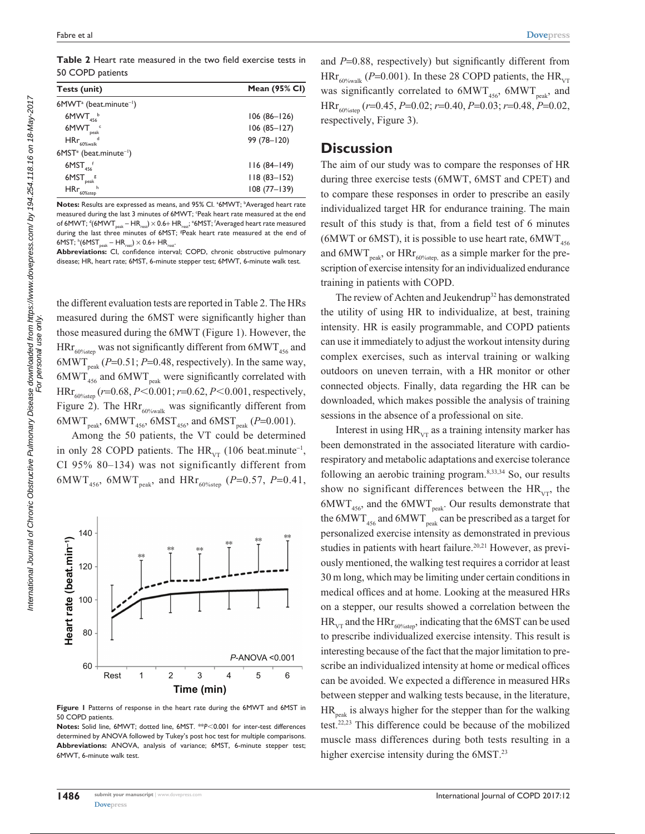| Tests (unit)                                      | <b>Mean (95% CI)</b> |
|---------------------------------------------------|----------------------|
| 6MWT <sup>a</sup> (beat.minute <sup>-1</sup> )    |                      |
| 6MWT <sub>456</sub>                               | 106 (86–126)         |
| $6MWT_{peak}$                                     | $106(85 - 127)$      |
| $H Rr_{60\% \text{walk}}$ <sup>d</sup>            | 99 (78-120)          |
| $6$ MST <sup>e</sup> (beat.minute <sup>-1</sup> ) |                      |
| $6MST_{456}$                                      | $116(84-149)$        |
| $6MST_{peak}$ g                                   | $118(83 - 152)$      |
| $H Rr_{60\%step}^{\hbar}$                         | $108(77 - 139)$      |

Notes: Results are expressed as means, and 95% Cl. <sup>a</sup>6MWT; <sup>b</sup>Averaged heart rate measured during the last 3 minutes of 6MWT; 'Peak heart rate measured at the end of 6MWT;  $\mathrm{^d}$ (6MWT $_{\mathrm{peak}}$  – HR $_{\mathrm{rest}}$ )  $\times$  0.6+ HR $_{\mathrm{rest}}$ ;  $\mathrm{^e}$ 6MST; 'Averaged heart rate measured during the last three minutes of 6MST; <sup>8</sup>Peak heart rate measured at the end of 6MST;  $h$ <sup>6</sup>(6MST<sub>peak</sub> – HR<sub>rest</sub>)  $\times$  0.6+ HR<sub>rest</sub>.

**Abbreviations:** CI, confidence interval; COPD, chronic obstructive pulmonary disease; HR, heart rate; 6MST, 6-minute stepper test; 6MWT, 6-minute walk test.

the different evaluation tests are reported in Table 2. The HRs measured during the 6MST were significantly higher than those measured during the 6MWT (Figure 1). However, the  $HRT_{60\%{step}}$  was not significantly different from  $6MWT_{456}$  and 6MWT<sub>neak</sub> ( $P=0.51$ ;  $P=0.48$ , respectively). In the same way,  $6MWT_{456}$  and  $6MWT_{peak}$  were significantly correlated with HRr<sub>60%step</sub> ( $r=0.68, P<0.001; r=0.62, P<0.001$ , respectively, Figure 2). The HR $r_{60\%$ walk was significantly different from  $6MWT_{peak}$ ,  $6MWT_{456}$ ,  $6MST_{456}$ , and  $6MST_{peak}$  (*P*=0.001).

Among the 50 patients, the VT could be determined in only 28 COPD patients. The  $HR_{VT}$  (106 beat.minute<sup>-1</sup>, CI 95% 80–134) was not significantly different from 6MWT<sub>456</sub>, 6MWT<sub>peak</sub>, and HRr<sub>60%step</sub> (*P*=0.57, *P*=0.41,



**Figure 1** Patterns of response in the heart rate during the 6MWT and 6MST in 50 COPD patients.

**Notes:** Solid line, 6MWT; dotted line, 6MST. \*\* $P$ <0.001 for inter-test differences determined by ANOVA followed by Tukey's post hoc test for multiple comparisons. **Abbreviations:** ANOVA, analysis of variance; 6MST, 6-minute stepper test; 6MWT, 6-minute walk test.

and *P*=0.88, respectively) but significantly different from  $HRT_{60\%}$ walk (*P*=0.001). In these 28 COPD patients, the  $HR_{VT}$ was significantly correlated to  $6MWT_{456}$ ,  $6MWT_{peak}$ , and HRr60%step (*r*=0.45, *P*=0.02; *r*=0.40, *P*=0.03; *r*=0.48, *P*=0.02, respectively, Figure 3).

### **Discussion**

The aim of our study was to compare the responses of HR during three exercise tests (6MWT, 6MST and CPET) and to compare these responses in order to prescribe an easily individualized target HR for endurance training. The main result of this study is that, from a field test of 6 minutes (6MWT or 6MST), it is possible to use heart rate,  $6MWT<sub>456</sub>$ and  $6MWT_{peak}$ , or  $HRT_{60\%step}$  as a simple marker for the prescription of exercise intensity for an individualized endurance training in patients with COPD.

The review of Achten and Jeukendrup<sup>32</sup> has demonstrated the utility of using HR to individualize, at best, training intensity. HR is easily programmable, and COPD patients can use it immediately to adjust the workout intensity during complex exercises, such as interval training or walking outdoors on uneven terrain, with a HR monitor or other connected objects. Finally, data regarding the HR can be downloaded, which makes possible the analysis of training sessions in the absence of a professional on site.

Interest in using  $HR<sub>VT</sub>$  as a training intensity marker has been demonstrated in the associated literature with cardiorespiratory and metabolic adaptations and exercise tolerance following an aerobic training program.8,33,34 So, our results show no significant differences between the  $HR_{VT}$ , the  $6MWT_{456}$ , and the  $6MWT_{peak}$ . Our results demonstrate that the  $6MWT_{456}$  and  $6MWT_{peak}$  can be prescribed as a target for personalized exercise intensity as demonstrated in previous studies in patients with heart failure.<sup>20,21</sup> However, as previously mentioned, the walking test requires a corridor at least 30 m long, which may be limiting under certain conditions in medical offices and at home. Looking at the measured HRs on a stepper, our results showed a correlation between the  $HR_{VT}$  and the HRr<sub>60%step</sub>, indicating that the 6MST can be used to prescribe individualized exercise intensity. This result is interesting because of the fact that the major limitation to prescribe an individualized intensity at home or medical offices can be avoided. We expected a difference in measured HRs between stepper and walking tests because, in the literature,  $HR_{\text{peak}}$  is always higher for the stepper than for the walking test.22,23 This difference could be because of the mobilized muscle mass differences during both tests resulting in a higher exercise intensity during the 6MST.<sup>23</sup>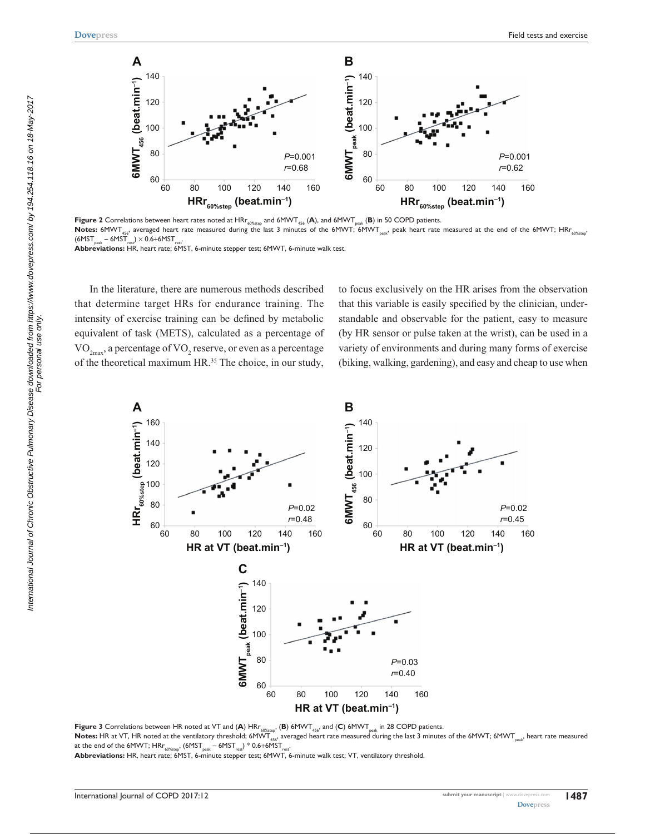

**Figure 2** Correlations between heart rates noted at HRr<sub>60%step</sub> and 6MWT<sub>456</sub> (A), and 6MWT<sub>peak</sub> (B) in 50 COPD patients. Notes: 6MWT<sub>456</sub>, averaged heart rate measured during the last 3 minutes of the 6MWT; 6MWT<sub>peak</sub>, peak heart rate measured at the end of the 6MWT; HRr<sub>60%step</sub>  $(6MST<sub>peak</sub> - 6MST<sub>rest</sub>) \times 0.6 + 6MST<sub>res</sub>$ 

**Abbreviations:** HR, heart rate; 6MST, 6-minute stepper test; 6MWT, 6-minute walk test.

In the literature, there are numerous methods described that determine target HRs for endurance training. The intensity of exercise training can be defined by metabolic equivalent of task (METS), calculated as a percentage of  $\rm VO_{2max}$ , a percentage of  $\rm VO_{2}$  reserve, or even as a percentage of the theoretical maximum HR.<sup>35</sup> The choice, in our study,

to focus exclusively on the HR arises from the observation that this variable is easily specified by the clinician, understandable and observable for the patient, easy to measure (by HR sensor or pulse taken at the wrist), can be used in a variety of environments and during many forms of exercise (biking, walking, gardening), and easy and cheap to use when



**Figure 3** Correlations between HR noted at VT and (A) HRr<sub>60%step</sub>, (B) 6MWT<sub>456</sub>, and (C) 6MWT<sub>peak</sub> in 28 COPD patients.

Notes: HR at VT, HR noted at the ventilatory threshold; 6MWT<sub>456</sub>, averaged heart rate measured during the last 3 minutes of the 6MWT; 6MWT<sub>nesk</sub>, heart rate measured at the end of the 6MWT;  $H Rr_{\rm 60\%step}$ , (6MST<sub>peak</sub> – 6MST<sub>rest</sub>) \* 0.6+6MST<sub>r</sub>

**Abbreviations:** HR, heart rate; 6MST, 6-minute stepper test; 6MWT, 6-minute walk test; VT, ventilatory threshold.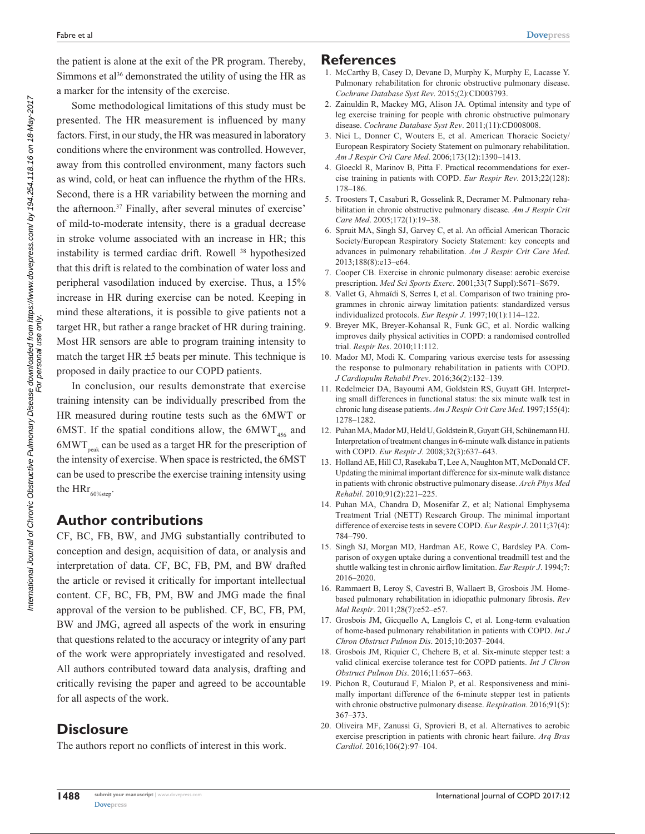the patient is alone at the exit of the PR program. Thereby, Simmons et al<sup>36</sup> demonstrated the utility of using the HR as a marker for the intensity of the exercise.

Some methodological limitations of this study must be presented. The HR measurement is influenced by many factors. First, in our study, the HR was measured in laboratory conditions where the environment was controlled. However, away from this controlled environment, many factors such as wind, cold, or heat can influence the rhythm of the HRs. Second, there is a HR variability between the morning and the afternoon.<sup>37</sup> Finally, after several minutes of exercise' of mild-to-moderate intensity, there is a gradual decrease in stroke volume associated with an increase in HR; this instability is termed cardiac drift. Rowell 38 hypothesized that this drift is related to the combination of water loss and peripheral vasodilation induced by exercise. Thus, a 15% increase in HR during exercise can be noted. Keeping in mind these alterations, it is possible to give patients not a target HR, but rather a range bracket of HR during training. Most HR sensors are able to program training intensity to match the target HR  $\pm$ 5 beats per minute. This technique is proposed in daily practice to our COPD patients.

In conclusion, our results demonstrate that exercise training intensity can be individually prescribed from the HR measured during routine tests such as the 6MWT or 6MST. If the spatial conditions allow, the  $6MWT_{456}$  and  $6MWT_{peak}$  can be used as a target HR for the prescription of the intensity of exercise. When space is restricted, the 6MST can be used to prescribe the exercise training intensity using the  $\mathrm{HRr}_{\rm 60\%step}.$ 

## **Author contributions**

CF, BC, FB, BW, and JMG substantially contributed to conception and design, acquisition of data, or analysis and interpretation of data. CF, BC, FB, PM, and BW drafted the article or revised it critically for important intellectual content. CF, BC, FB, PM, BW and JMG made the final approval of the version to be published. CF, BC, FB, PM, BW and JMG, agreed all aspects of the work in ensuring that questions related to the accuracy or integrity of any part of the work were appropriately investigated and resolved. All authors contributed toward data analysis, drafting and critically revising the paper and agreed to be accountable for all aspects of the work.

## **Disclosure**

The authors report no conflicts of interest in this work.

## **References**

- 1. McCarthy B, Casey D, Devane D, Murphy K, Murphy E, Lacasse Y. Pulmonary rehabilitation for chronic obstructive pulmonary disease. *Cochrane Database Syst Rev*. 2015;(2):CD003793.
- 2. Zainuldin R, Mackey MG, Alison JA. Optimal intensity and type of leg exercise training for people with chronic obstructive pulmonary disease. *Cochrane Database Syst Rev*. 2011;(11):CD008008.
- 3. Nici L, Donner C, Wouters E, et al. American Thoracic Society/ European Respiratory Society Statement on pulmonary rehabilitation. *Am J Respir Crit Care Med*. 2006;173(12):1390–1413.
- 4. Gloeckl R, Marinov B, Pitta F. Practical recommendations for exercise training in patients with COPD. *Eur Respir Rev*. 2013;22(128): 178–186.
- 5. Troosters T, Casaburi R, Gosselink R, Decramer M. Pulmonary rehabilitation in chronic obstructive pulmonary disease. *Am J Respir Crit Care Med*. 2005;172(1):19–38.
- 6. Spruit MA, Singh SJ, Garvey C, et al. An official American Thoracic Society/European Respiratory Society Statement: key concepts and advances in pulmonary rehabilitation. *Am J Respir Crit Care Med*. 2013;188(8):e13–e64.
- 7. Cooper CB. Exercise in chronic pulmonary disease: aerobic exercise prescription. *Med Sci Sports Exerc*. 2001;33(7 Suppl):S671–S679.
- 8. Vallet G, Ahmaïdi S, Serres I, et al. Comparison of two training programmes in chronic airway limitation patients: standardized versus individualized protocols. *Eur Respir J*. 1997;10(1):114–122.
- 9. Breyer MK, Breyer-Kohansal R, Funk GC, et al. Nordic walking improves daily physical activities in COPD: a randomised controlled trial. *Respir Res*. 2010;11:112.
- 10. Mador MJ, Modi K. Comparing various exercise tests for assessing the response to pulmonary rehabilitation in patients with COPD. *J Cardiopulm Rehabil Prev*. 2016;36(2):132–139.
- 11. Redelmeier DA, Bayoumi AM, Goldstein RS, Guyatt GH. Interpreting small differences in functional status: the six minute walk test in chronic lung disease patients. *Am J Respir Crit Care Med*. 1997;155(4): 1278–1282.
- 12. Puhan MA, Mador MJ, Held U, Goldstein R, Guyatt GH, Schünemann HJ. Interpretation of treatment changes in 6-minute walk distance in patients with COPD. *Eur Respir J*. 2008;32(3):637–643.
- 13. Holland AE, Hill CJ, Rasekaba T, Lee A, Naughton MT, McDonald CF. Updating the minimal important difference for six-minute walk distance in patients with chronic obstructive pulmonary disease. *Arch Phys Med Rehabil*. 2010;91(2):221–225.
- 14. Puhan MA, Chandra D, Mosenifar Z, et al; National Emphysema Treatment Trial (NETT) Research Group. The minimal important difference of exercise tests in severe COPD. *Eur Respir J*. 2011;37(4): 784–790.
- 15. Singh SJ, Morgan MD, Hardman AE, Rowe C, Bardsley PA. Comparison of oxygen uptake during a conventional treadmill test and the shuttle walking test in chronic airflow limitation. *Eur Respir J*. 1994;7: 2016–2020.
- 16. Rammaert B, Leroy S, Cavestri B, Wallaert B, Grosbois JM. Homebased pulmonary rehabilitation in idiopathic pulmonary fibrosis. *Rev Mal Respir*. 2011;28(7):e52–e57.
- 17. Grosbois JM, Gicquello A, Langlois C, et al. Long-term evaluation of home-based pulmonary rehabilitation in patients with COPD. *Int J Chron Obstruct Pulmon Dis*. 2015;10:2037–2044.
- 18. Grosbois JM, Riquier C, Chehere B, et al. Six-minute stepper test: a valid clinical exercise tolerance test for COPD patients. *Int J Chron Obstruct Pulmon Dis*. 2016;11:657–663.
- 19. Pichon R, Couturaud F, Mialon P, et al. Responsiveness and minimally important difference of the 6-minute stepper test in patients with chronic obstructive pulmonary disease. *Respiration*. 2016;91(5): 367–373.
- 20. Oliveira MF, Zanussi G, Sprovieri B, et al. Alternatives to aerobic exercise prescription in patients with chronic heart failure. *Arq Bras Cardiol*. 2016;106(2):97–104.